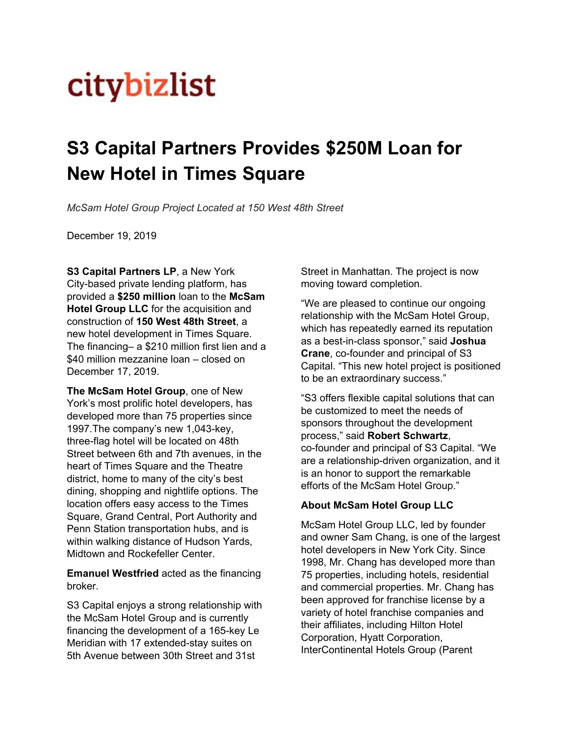## **citybizlist**

## **S3 Capital Partners Provides \$250M Loan for New Hotel in Times Square**

*McSam Hotel Group Project Located at 150 West 48th Street*

December 19, 2019

**S3 Capital [Partners](http://www.s3-cap.com/) LP**, a New York City-based private lending platform, has provided a **\$250 million** loan to the **McSam Hotel Group LLC** for the acquisition and construction of **150 West 48th Street**, a new hotel development in Times Square. The financing– a \$210 million first lien and a \$40 million mezzanine loan – closed on December 17, 2019.

**The McSam Hotel Group**, one of New York's most prolific hotel developers, has developed more than 75 properties since 1997.The company's new 1,043-key, three-flag hotel will be located on 48th Street between 6th and 7th avenues, in the heart of Times Square and the Theatre district, home to many of the city's best dining, shopping and nightlife options. The location offers easy access to the Times Square, Grand Central, Port Authority and Penn Station transportation hubs, and is within walking distance of Hudson Yards, Midtown and Rockefeller Center.

**Emanuel Westfried** acted as the financing broker.

S3 Capital enjoys a strong relationship with the McSam Hotel Group and is currently financing the development of a 165-key Le Meridian with 17 extended-stay suites on 5th Avenue between 30th Street and 31st

Street in Manhattan. The project is now moving toward completion.

"We are pleased to continue our ongoing relationship with the McSam Hotel Group, which has repeatedly earned its reputation as a best-in-class sponsor," said **Joshua Crane**, co-founder and principal of S3 Capital. "This new hotel project is positioned to be an extraordinary success."

"S3 offers flexible capital solutions that can be customized to meet the needs of sponsors throughout the development process," said **Robert Schwartz**, co-founder and principal of S3 Capital. "We are a relationship-driven organization, and it is an honor to support the remarkable efforts of the McSam Hotel Group."

## **About McSam Hotel Group LLC**

McSam Hotel Group LLC, led by founder and owner Sam Chang, is one of the largest hotel developers in New York City. Since 1998, Mr. Chang has developed more than 75 properties, including hotels, residential and commercial properties. Mr. Chang has been approved for franchise license by a variety of hotel franchise companies and their affiliates, including Hilton Hotel Corporation, Hyatt Corporation, InterContinental Hotels Group (Parent